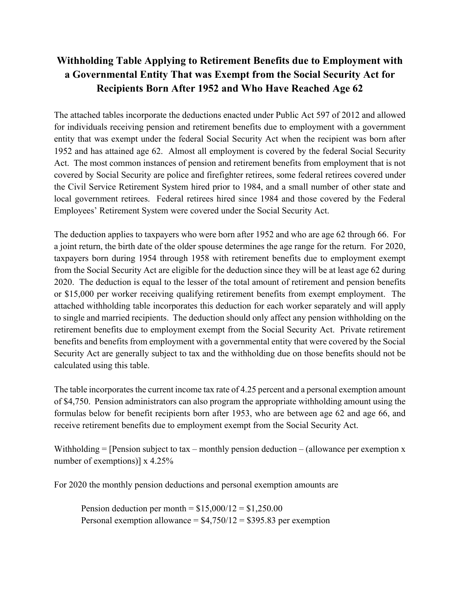## **Withholding Table Applying to Retirement Benefits due to Employment with a Governmental Entity That was Exempt from the Social Security Act for Recipients Born After 1952 and Who Have Reached Age 62**

 entity that was exempt under the federal Social Security Act when the recipient was born after 1952 and has attained age 62. Almost all employment is covered by the federal Social Security The attached tables incorporate the deductions enacted under Public Act 597 of 2012 and allowed for individuals receiving pension and retirement benefits due to employment with a government Act. The most common instances of pension and retirement benefits from employment that is not covered by Social Security are police and firefighter retirees, some federal retirees covered under the Civil Service Retirement System hired prior to 1984, and a small number of other state and local government retirees. Federal retirees hired since 1984 and those covered by the Federal Employees' Retirement System were covered under the Social Security Act.

 or \$15,000 per worker receiving qualifying retirement benefits from exempt employment. The The deduction applies to taxpayers who were born after 1952 and who are age 62 through 66. For a joint return, the birth date of the older spouse determines the age range for the return. For 2020, taxpayers born during 1954 through 1958 with retirement benefits due to employment exempt from the Social Security Act are eligible for the deduction since they will be at least age 62 during 2020. The deduction is equal to the lesser of the total amount of retirement and pension benefits attached withholding table incorporates this deduction for each worker separately and will apply to single and married recipients. The deduction should only affect any pension withholding on the retirement benefits due to employment exempt from the Social Security Act. Private retirement benefits and benefits from employment with a governmental entity that were covered by the Social Security Act are generally subject to tax and the withholding due on those benefits should not be calculated using this table.

The table incorporates the current income tax rate of 4.25 percent and a personal exemption amount of \$4,750. Pension administrators can also program the appropriate withholding amount using the formulas below for benefit recipients born after 1953, who are between age 62 and age 66, and receive retirement benefits due to employment exempt from the Social Security Act.

Withholding  $=$  [Pension subject to tax – monthly pension deduction – (allowance per exemption x number of exemptions)] x 4.25%

For 2020 the monthly pension deductions and personal exemption amounts are

Pension deduction per month =  $$15,000/12 = $1,250.00$  $$15,000/12 = $1,250.00$ Personal exemption allowance =  $$4,750/12 = $395.83$  per exemption